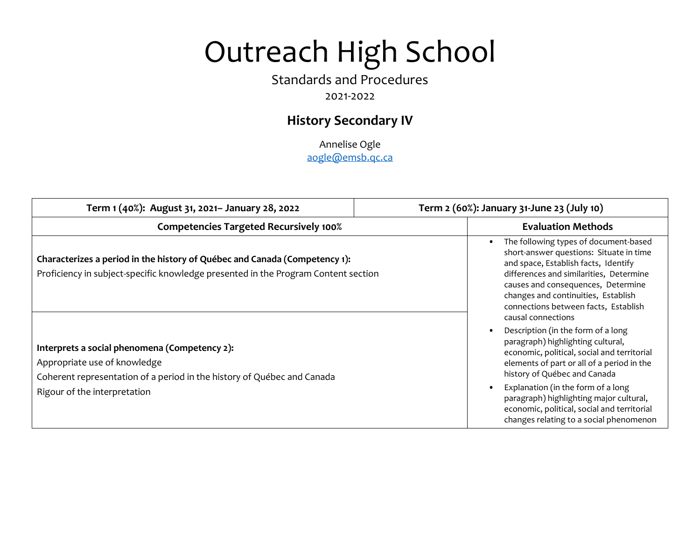# Outreach High School

## Standards and Procedures

## 2021-2022

## **History Secondary IV**

Annelise Ogle aogle@emsb.qc.ca

| Term 1 (40%): August 31, 2021- January 28, 2022                                                                                                                                          | Term 2 (60%): January 31-June 23 (July 10)                                                                                                                                                                                                                                                                                                                                      |
|------------------------------------------------------------------------------------------------------------------------------------------------------------------------------------------|---------------------------------------------------------------------------------------------------------------------------------------------------------------------------------------------------------------------------------------------------------------------------------------------------------------------------------------------------------------------------------|
| <b>Competencies Targeted Recursively 100%</b>                                                                                                                                            | <b>Evaluation Methods</b>                                                                                                                                                                                                                                                                                                                                                       |
| Characterizes a period in the history of Québec and Canada (Competency 1):<br>Proficiency in subject-specific knowledge presented in the Program Content section                         | The following types of document-based<br>short-answer questions: Situate in time<br>and space, Establish facts, Identify<br>differences and similarities, Determine<br>causes and consequences, Determine<br>changes and continuities, Establish<br>connections between facts, Establish<br>causal connections                                                                  |
| Interprets a social phenomena (Competency 2):<br>Appropriate use of knowledge<br>Coherent representation of a period in the history of Québec and Canada<br>Rigour of the interpretation | Description (in the form of a long<br>paragraph) highlighting cultural,<br>economic, political, social and territorial<br>elements of part or all of a period in the<br>history of Québec and Canada<br>Explanation (in the form of a long<br>paragraph) highlighting major cultural,<br>economic, political, social and territorial<br>changes relating to a social phenomenon |